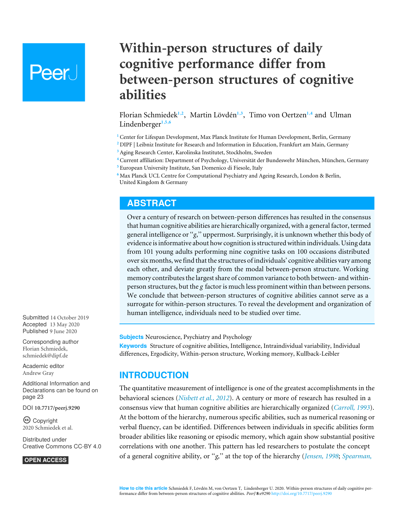# **Peer**

## **Within-person structures of daily cognitive performance differ from between-person structures of cognitive abilities**

<span id="page-0-9"></span><span id="page-0-8"></span><span id="page-0-7"></span><span id="page-0-6"></span>Florian Schmiedek**[1](#page-0-0)**,**[2](#page-0-1)** , Martin Lövdén**[1](#page-0-0)**,**[3](#page-0-2)** , Timo von Oertzen**[1](#page-0-0)**,**[4](#page-0-3)** and Ulman Lindenberger**[1](#page-0-0)**,**[5](#page-0-4)**,**[6](#page-0-5)**

- <span id="page-0-0"></span>**<sup>1</sup>** Center for Lifespan Development, Max Planck Institute for Human Development, Berlin, Germany
- <span id="page-0-1"></span>**<sup>2</sup>** DIPF | Leibniz Institute for Research and Information in Education, Frankfurt am Main, Germany
- <span id="page-0-2"></span>**<sup>3</sup>** Aging Research Center, Karolinska Institutet, Stockholm, Sweden
- <span id="page-0-3"></span>**<sup>4</sup>** Current affiliation: Department of Psychology, Universität der Bundeswehr München, München, Germany
- <span id="page-0-4"></span>**<sup>5</sup>** European University Institute, San Domenico di Fiesole, Italy
- <span id="page-0-5"></span>**<sup>6</sup>** Max Planck UCL Centre for Computational Psychiatry and Ageing Research, London & Berlin, United Kingdom & Germany

## **ABSTRACT**

Over a century of research on between-person differences has resulted in the consensus that human cognitive abilities are hierarchically organized, with a general factor, termed general intelligence or ''*g*,'' uppermost. Surprisingly, it is unknown whether this body of evidence is informative about how cognition is structured within individuals. Using data from 101 young adults performing nine cognitive tasks on 100 occasions distributed over six months, we find that the structures of individuals' cognitive abilities vary among each other, and deviate greatly from the modal between-person structure. Working memory contributes the largest share of common variance to both between- and withinperson structures, but the *g* factor is much less prominent within than between persons. We conclude that between-person structures of cognitive abilities cannot serve as a surrogate for within-person structures. To reveal the development and organization of human intelligence, individuals need to be studied over time.

**Subjects** Neuroscience, Psychiatry and Psychology

**Keywords** Structure of cognitive abilities, Intelligence, Intraindividual variability, Individual differences, Ergodicity, Within-person structure, Working memory, Kullback-Leibler

## **INTRODUCTION**

The quantitative measurement of intelligence is one of the greatest accomplishments in the behavioral sciences (*[Nisbett et al., 2012](#page-25-0)*). A century or more of research has resulted in a consensus view that human cognitive abilities are hierarchically organized (*[Carroll, 1993](#page-23-0)*). At the bottom of the hierarchy, numerous specific abilities, such as numerical reasoning or verbal fluency, can be identified. Differences between individuals in specific abilities form broader abilities like reasoning or episodic memory, which again show substantial positive correlations with one another. This pattern has led researchers to postulate the concept of a general cognitive ability, or ''*g,*'' at the top of the hierarchy (*[Jensen, 1998](#page-24-0)*; *[Spearman,](#page-26-0)*

Submitted 14 October 2019 Accepted 13 May 2020 Published 9 June 2020

Corresponding author Florian Schmiedek, [schmiedek@dipf.de](mailto:schmiedek@dipf.de)

[Academic editor](https://peerj.com/academic-boards/editors/) [Andrew Gray](https://peerj.com/academic-boards/editors/)

[Additional Information and](#page-22-0) [Declarations can be found on](#page-22-0) [page 23](#page-22-0)

DOI **[10.7717/peerj.9290](http://dx.doi.org/10.7717/peerj.9290)**

Copyright 2020 Schmiedek et al.

[Distributed under](http://creativecommons.org/licenses/by/4.0/) [Creative Commons CC-BY 4.0](http://creativecommons.org/licenses/by/4.0/)

#### **OPEN ACCESS**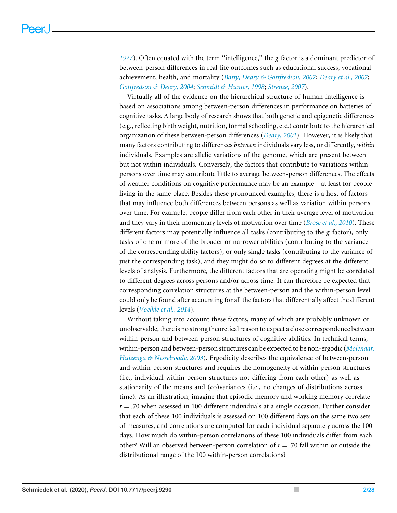*[1927](#page-26-0)*). Often equated with the term ''intelligence,'' the *g* factor is a dominant predictor of between-person differences in real-life outcomes such as educational success, vocational achievement, health, and mortality (*[Batty, Deary & Gottfredson, 2007](#page-23-1)*; *[Deary et al., 2007](#page-24-1)*; *[Gottfredson & Deary, 2004](#page-24-2)*; *[Schmidt & Hunter, 1998](#page-26-1)*; *[Strenze, 2007](#page-26-2)*).

Virtually all of the evidence on the hierarchical structure of human intelligence is based on associations among between-person differences in performance on batteries of cognitive tasks. A large body of research shows that both genetic and epigenetic differences (e.g., reflecting birth weight, nutrition, formal schooling, etc.) contribute to the hierarchical organization of these between-person differences (*[Deary, 2001](#page-23-2)*). However, it is likely that many factors contributing to differences *between* individuals vary less, or differently, *within* individuals. Examples are allelic variations of the genome, which are present between but not within individuals. Conversely, the factors that contribute to variations within persons over time may contribute little to average between-person differences. The effects of weather conditions on cognitive performance may be an example—at least for people living in the same place. Besides these pronounced examples, there is a host of factors that may influence both differences between persons as well as variation within persons over time. For example, people differ from each other in their average level of motivation and they vary in their momentary levels of motivation over time (*[Brose et al., 2010](#page-23-3)*). These different factors may potentially influence all tasks (contributing to the *g* factor), only tasks of one or more of the broader or narrower abilities (contributing to the variance of the corresponding ability factors), or only single tasks (contributing to the variance of just the corresponding task), and they might do so to different degrees at the different levels of analysis. Furthermore, the different factors that are operating might be correlated to different degrees across persons and/or across time. It can therefore be expected that corresponding correlation structures at the between-person and the within-person level could only be found after accounting for all the factors that differentially affect the different levels (*[Voelkle et al., 2014](#page-26-3)*).

Without taking into account these factors, many of which are probably unknown or unobservable, there is no strong theoretical reason to expect a close correspondence between within-person and between-person structures of cognitive abilities. In technical terms, within-person and between-person structures can be expected to be non-ergodic (*[Molenaar,](#page-25-1) [Huizenga & Nesselroade, 2003](#page-25-1)*). Ergodicity describes the equivalence of between-person and within-person structures and requires the homogeneity of within-person structures (i.e., individual within-person structures not differing from each other) as well as stationarity of the means and (co)variances (i.e., no changes of distributions across time). As an illustration, imagine that episodic memory and working memory correlate  $r = 0.70$  when assessed in 100 different individuals at a single occasion. Further consider that each of these 100 individuals is assessed on 100 different days on the same two sets of measures, and correlations are computed for each individual separately across the 100 days. How much do within-person correlations of these 100 individuals differ from each other? Will an observed between-person correlation of *r* = .70 fall within or outside the distributional range of the 100 within-person correlations?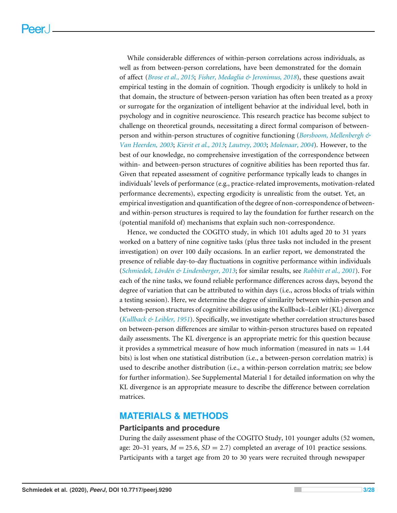While considerable differences of within-person correlations across individuals, as well as from between-person correlations, have been demonstrated for the domain of affect (*[Brose et al., 2015](#page-23-4)*; *[Fisher, Medaglia & Jeronimus, 2018](#page-24-3)*), these questions await empirical testing in the domain of cognition. Though ergodicity is unlikely to hold in that domain, the structure of between-person variation has often been treated as a proxy or surrogate for the organization of intelligent behavior at the individual level, both in psychology and in cognitive neuroscience. This research practice has become subject to challenge on theoretical grounds, necessitating a direct formal comparison of betweenperson and within-person structures of cognitive functioning (*[Borsboom, Mellenbergh &](#page-23-5) [Van Heerden,](#page-23-5) [2003](#page-23-5)*; *[Kievit et al., 2013](#page-24-4)*; *[Lautrey, 2003](#page-25-2)*; *[Molenaar, 2004](#page-25-3)*). However, to the best of our knowledge, no comprehensive investigation of the correspondence between within- and between-person structures of cognitive abilities has been reported thus far. Given that repeated assessment of cognitive performance typically leads to changes in individuals' levels of performance (e.g., practice-related improvements, motivation-related performance decrements), expecting ergodicity is unrealistic from the outset. Yet, an empirical investigation and quantification of the degree of non-correspondence of betweenand within-person structures is required to lay the foundation for further research on the (potential manifold of) mechanisms that explain such non-correspondence.

Hence, we conducted the COGITO study, in which 101 adults aged 20 to 31 years worked on a battery of nine cognitive tasks (plus three tasks not included in the present investigation) on over 100 daily occasions. In an earlier report, we demonstrated the presence of reliable day-to-day fluctuations in cognitive performance within individuals (*[Schmiedek, Lövdén & Lindenberger, 2013](#page-26-4)*; for similar results, see *[Rabbitt et al., 2001](#page-25-4)*). For each of the nine tasks, we found reliable performance differences across days, beyond the degree of variation that can be attributed to within days (i.e., across blocks of trials within a testing session). Here, we determine the degree of similarity between within-person and between-person structures of cognitive abilities using the Kullback–Leibler (KL) divergence (*[Kullback & Leibler, 1951](#page-24-5)*). Specifically, we investigate whether correlation structures based on between-person differences are similar to within-person structures based on repeated daily assessments. The KL divergence is an appropriate metric for this question because it provides a symmetrical measure of how much information (measured in nats  $= 1.44$ ) bits) is lost when one statistical distribution (i.e., a between-person correlation matrix) is used to describe another distribution (i.e., a within-person correlation matrix; see below for further information). See Supplemental Material 1 for detailed information on why the KL divergence is an appropriate measure to describe the difference between correlation matrices.

#### **MATERIALS & METHODS**

#### **Participants and procedure**

During the daily assessment phase of the COGITO Study, 101 younger adults (52 women, age: 20–31 years,  $M = 25.6$ ,  $SD = 2.7$ ) completed an average of 101 practice sessions. Participants with a target age from 20 to 30 years were recruited through newspaper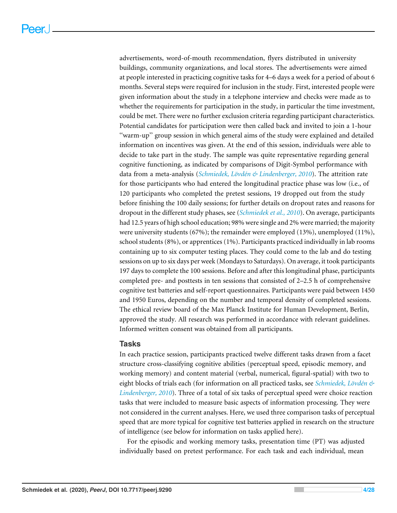advertisements, word-of-mouth recommendation, flyers distributed in university buildings, community organizations, and local stores. The advertisements were aimed at people interested in practicing cognitive tasks for 4–6 days a week for a period of about 6 months. Several steps were required for inclusion in the study. First, interested people were given information about the study in a telephone interview and checks were made as to whether the requirements for participation in the study, in particular the time investment, could be met. There were no further exclusion criteria regarding participant characteristics. Potential candidates for participation were then called back and invited to join a 1-hour ''warm-up'' group session in which general aims of the study were explained and detailed information on incentives was given. At the end of this session, individuals were able to decide to take part in the study. The sample was quite representative regarding general cognitive functioning, as indicated by comparisons of Digit-Symbol performance with data from a meta-analysis (*[Schmiedek, Lövdén & Lindenberger, 2010](#page-26-5)*). The attrition rate for those participants who had entered the longitudinal practice phase was low (i.e., of 120 participants who completed the pretest sessions, 19 dropped out from the study before finishing the 100 daily sessions; for further details on dropout rates and reasons for dropout in the different study phases, see (*[Schmiedek et al., 2010](#page-26-6)*). On average, participants had 12.5 years of high school education; 98% were single and 2% were married; the majority were university students (67%); the remainder were employed (13%), unemployed (11%), school students (8%), or apprentices (1%). Participants practiced individually in lab rooms containing up to six computer testing places. They could come to the lab and do testing sessions on up to six days per week (Mondays to Saturdays). On average, it took participants 197 days to complete the 100 sessions. Before and after this longitudinal phase, participants completed pre- and posttests in ten sessions that consisted of 2–2.5 h of comprehensive cognitive test batteries and self-report questionnaires. Participants were paid between 1450 and 1950 Euros, depending on the number and temporal density of completed sessions. The ethical review board of the Max Planck Institute for Human Development, Berlin, approved the study. All research was performed in accordance with relevant guidelines. Informed written consent was obtained from all participants.

#### **Tasks**

In each practice session, participants practiced twelve different tasks drawn from a facet structure cross-classifying cognitive abilities (perceptual speed, episodic memory, and working memory) and content material (verbal, numerical, figural-spatial) with two to eight blocks of trials each (for information on all practiced tasks, see *[Schmiedek, Lövdén &](#page-26-5) [Lindenberger, 2010](#page-26-5)*). Three of a total of six tasks of perceptual speed were choice reaction tasks that were included to measure basic aspects of information processing. They were not considered in the current analyses. Here, we used three comparison tasks of perceptual speed that are more typical for cognitive test batteries applied in research on the structure of intelligence (see below for information on tasks applied here).

For the episodic and working memory tasks, presentation time (PT) was adjusted individually based on pretest performance. For each task and each individual, mean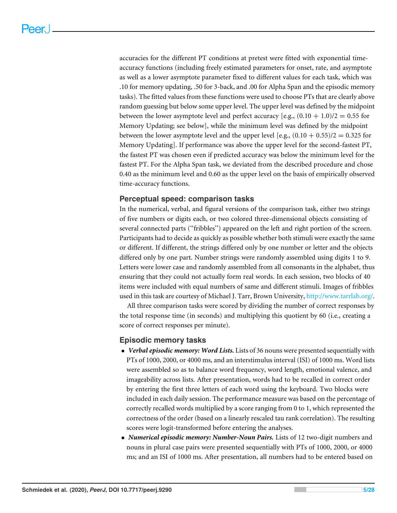accuracies for the different PT conditions at pretest were fitted with exponential timeaccuracy functions (including freely estimated parameters for onset, rate, and asymptote as well as a lower asymptote parameter fixed to different values for each task, which was .10 for memory updating, .50 for 3-back, and .00 for Alpha Span and the episodic memory tasks). The fitted values from these functions were used to choose PTs that are clearly above random guessing but below some upper level. The upper level was defined by the midpoint between the lower asymptote level and perfect accuracy [e.g.,  $(0.10 + 1.0)/2 = 0.55$  for Memory Updating; see below], while the minimum level was defined by the midpoint between the lower asymptote level and the upper level [e.g.,  $(0.10 + 0.55)/2 = 0.325$  for Memory Updating]. If performance was above the upper level for the second-fastest PT, the fastest PT was chosen even if predicted accuracy was below the minimum level for the fastest PT. For the Alpha Span task, we deviated from the described procedure and chose 0.40 as the minimum level and 0.60 as the upper level on the basis of empirically observed time-accuracy functions.

#### **Perceptual speed: comparison tasks**

In the numerical, verbal, and figural versions of the comparison task, either two strings of five numbers or digits each, or two colored three-dimensional objects consisting of several connected parts (''fribbles'') appeared on the left and right portion of the screen. Participants had to decide as quickly as possible whether both stimuli were exactly the same or different. If different, the strings differed only by one number or letter and the objects differed only by one part. Number strings were randomly assembled using digits 1 to 9. Letters were lower case and randomly assembled from all consonants in the alphabet, thus ensuring that they could not actually form real words. In each session, two blocks of 40 items were included with equal numbers of same and different stimuli. Images of fribbles used in this task are courtesy of Michael J. Tarr, Brown University, [http://www.tarrlab.org/.](http://www.tarrlab.org/)

All three comparison tasks were scored by dividing the number of correct responses by the total response time (in seconds) and multiplying this quotient by 60 (i.e., creating a score of correct responses per minute).

#### **Episodic memory tasks**

- *Verbal episodic memory: Word Lists.* Lists of 36 nouns were presented sequentially with PTs of 1000, 2000, or 4000 ms, and an interstimulus interval (ISI) of 1000 ms. Word lists were assembled so as to balance word frequency, word length, emotional valence, and imageability across lists. After presentation, words had to be recalled in correct order by entering the first three letters of each word using the keyboard. Two blocks were included in each daily session. The performance measure was based on the percentage of correctly recalled words multiplied by a score ranging from 0 to 1, which represented the correctness of the order (based on a linearly rescaled tau rank correlation). The resulting scores were logit-transformed before entering the analyses.
- *Numerical episodic memory: Number-Noun Pairs.* Lists of 12 two-digit numbers and nouns in plural case pairs were presented sequentially with PTs of 1000, 2000, or 4000 ms; and an ISI of 1000 ms. After presentation, all numbers had to be entered based on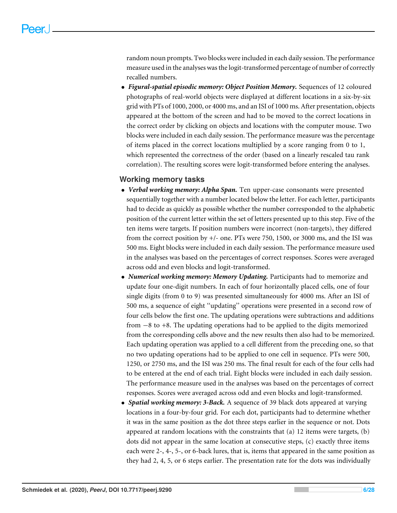random noun prompts. Two blocks were included in each daily session. The performance measure used in the analyses was the logit-transformed percentage of number of correctly recalled numbers.

• *Figural-spatial episodic memory: Object Position Memory.* Sequences of 12 coloured photographs of real-world objects were displayed at different locations in a six-by-six grid with PTs of 1000, 2000, or 4000 ms, and an ISI of 1000 ms. After presentation, objects appeared at the bottom of the screen and had to be moved to the correct locations in the correct order by clicking on objects and locations with the computer mouse. Two blocks were included in each daily session. The performance measure was the percentage of items placed in the correct locations multiplied by a score ranging from 0 to 1, which represented the correctness of the order (based on a linearly rescaled tau rank correlation). The resulting scores were logit-transformed before entering the analyses.

#### **Working memory tasks**

- *Verbal working memory: Alpha Span.* Ten upper-case consonants were presented sequentially together with a number located below the letter. For each letter, participants had to decide as quickly as possible whether the number corresponded to the alphabetic position of the current letter within the set of letters presented up to this step. Five of the ten items were targets. If position numbers were incorrect (non-targets), they differed from the correct position by +/- one. PTs were 750, 1500, or 3000 ms, and the ISI was 500 ms. Eight blocks were included in each daily session. The performance measure used in the analyses was based on the percentages of correct responses. Scores were averaged across odd and even blocks and logit-transformed.
- *Numerical working memory: Memory Updating.* Participants had to memorize and update four one-digit numbers. In each of four horizontally placed cells, one of four single digits (from 0 to 9) was presented simultaneously for 4000 ms. After an ISI of 500 ms, a sequence of eight ''updating'' operations were presented in a second row of four cells below the first one. The updating operations were subtractions and additions from −8 to +8. The updating operations had to be applied to the digits memorized from the corresponding cells above and the new results then also had to be memorized. Each updating operation was applied to a cell different from the preceding one, so that no two updating operations had to be applied to one cell in sequence. PTs were 500, 1250, or 2750 ms, and the ISI was 250 ms. The final result for each of the four cells had to be entered at the end of each trial. Eight blocks were included in each daily session. The performance measure used in the analyses was based on the percentages of correct responses. Scores were averaged across odd and even blocks and logit-transformed.
- *Spatial working memory: 3-Back.* A sequence of 39 black dots appeared at varying locations in a four-by-four grid. For each dot, participants had to determine whether it was in the same position as the dot three steps earlier in the sequence or not. Dots appeared at random locations with the constraints that  $(a)$  12 items were targets,  $(b)$ dots did not appear in the same location at consecutive steps, (c) exactly three items each were 2-, 4-, 5-, or 6-back lures, that is, items that appeared in the same position as they had 2, 4, 5, or 6 steps earlier. The presentation rate for the dots was individually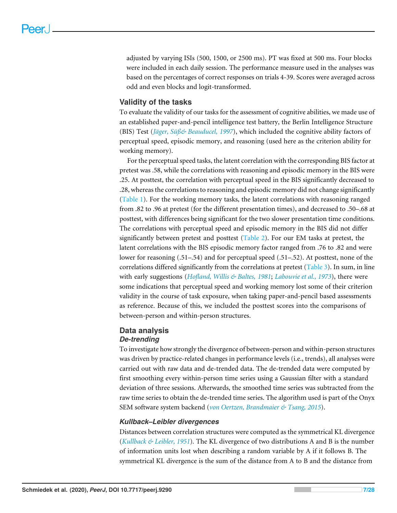adjusted by varying ISIs (500, 1500, or 2500 ms). PT was fixed at 500 ms. Four blocks were included in each daily session. The performance measure used in the analyses was based on the percentages of correct responses on trials 4-39. Scores were averaged across odd and even blocks and logit-transformed.

#### **Validity of the tasks**

To evaluate the validity of our tasks for the assessment of cognitive abilities, we made use of an established paper-and-pencil intelligence test battery, the Berlin Intelligence Structure (BIS) Test (*[Jäger, Süß& Beauducel,](#page-24-6) [1997](#page-24-6)*), which included the cognitive ability factors of perceptual speed, episodic memory, and reasoning (used here as the criterion ability for working memory).

For the perceptual speed tasks, the latent correlation with the corresponding BIS factor at pretest was .58, while the correlations with reasoning and episodic memory in the BIS were .25. At posttest, the correlation with perceptual speed in the BIS significantly decreased to .28, whereas the correlations to reasoning and episodic memory did not change significantly [\(Table 1\)](#page-7-0). For the working memory tasks, the latent correlations with reasoning ranged from .82 to .96 at pretest (for the different presentation times), and decreased to .50–.68 at posttest, with differences being significant for the two slower presentation time conditions. The correlations with perceptual speed and episodic memory in the BIS did not differ significantly between pretest and posttest [\(Table 2\)](#page-7-1). For our EM tasks at pretest, the latent correlations with the BIS episodic memory factor ranged from .76 to .82 and were lower for reasoning (.51–.54) and for perceptual speed (.51–.52). At posttest, none of the correlations differed significantly from the correlations at pretest [\(Table 3\)](#page-8-0). In sum, in line with early suggestions (*[Hofland, Willis & Baltes,](#page-24-7) [1981](#page-24-7)*; *[Labouvie et al., 1973](#page-25-5)*), there were some indications that perceptual speed and working memory lost some of their criterion validity in the course of task exposure, when taking paper-and-pencil based assessments as reference. Because of this, we included the posttest scores into the comparisons of between-person and within-person structures.

#### **Data analysis** *De-trending*

To investigate how strongly the divergence of between-person and within-person structures was driven by practice-related changes in performance levels (i.e., trends), all analyses were carried out with raw data and de-trended data. The de-trended data were computed by first smoothing every within-person time series using a Gaussian filter with a standard deviation of three sessions. Afterwards, the smoothed time series was subtracted from the raw time series to obtain the de-trended time series. The algorithm used is part of the Onyx SEM software system backend (*[von Oertzen, Brandmaier & Tsang,](#page-27-0) [2015](#page-27-0)*).

#### *Kullback–Leibler divergences*

Distances between correlation structures were computed as the symmetrical KL divergence (*[Kullback & Leibler, 1951](#page-24-5)*)*.* The KL divergence of two distributions A and B is the number of information units lost when describing a random variable by A if it follows B. The symmetrical KL divergence is the sum of the distance from A to B and the distance from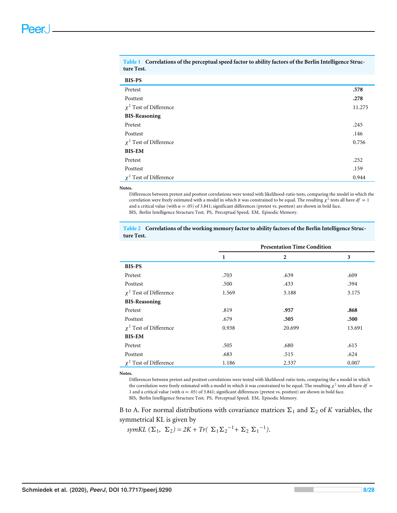| <b>BIS-PS</b>               |        |
|-----------------------------|--------|
| Pretest                     | .578   |
| Posttest                    | .278   |
| $\chi^2$ Test of Difference | 11.275 |
| <b>BIS-Reasoning</b>        |        |
| Pretest                     | .245   |
| Posttest                    | .146   |
| $\chi^2$ Test of Difference | 0.756  |
| <b>BIS-EM</b>               |        |
| Pretest                     | .252   |

Posttest .159  $\chi^2$  Test of Difference 0.944

<span id="page-7-0"></span>**Table 1 Correlations of the perceptual speed factor to ability factors of the Berlin Intelligence Structure Test.**

#### **Notes.**

Differences between pretest and posttest correlations were tested with likelihood-ratio tests, comparing the model in which the correlation were freely estimated with a model in which it was constrained to be equal. The resulting  $\chi^2$  tests all have  $df = 1$ and a critical value (with  $\alpha$  = .05) of 3.841; significant differences (pretest vs. posttest) are shown in bold face. BIS, Berlin Intelligence Structure Test; PS, Perceptual Speed; EM, Episodic Memory.

<span id="page-7-1"></span>**Table 2 Correlations of the working memory factor to ability factors of the Berlin Intelligence Structure Test.**

|                             | <b>Presentation Time Condition</b> |                |        |
|-----------------------------|------------------------------------|----------------|--------|
|                             | 1                                  | $\overline{2}$ | 3      |
| <b>BIS-PS</b>               |                                    |                |        |
| Pretest                     | .703                               | .639           | .609   |
| Posttest                    | .500                               | .433           | .394   |
| $\chi^2$ Test of Difference | 1.569                              | 3.188          | 3.175  |
| <b>BIS-Reasoning</b>        |                                    |                |        |
| Pretest                     | .819                               | .957           | .868   |
| Posttest                    | .679                               | .505           | .500   |
| $\chi^2$ Test of Difference | 0.938                              | 20.699         | 13.691 |
| <b>BIS-EM</b>               |                                    |                |        |
| Pretest                     | .505                               | .680           | .615   |
| Posttest                    | .683                               | .515           | .624   |
| $\chi^2$ Test of Difference | 1.186                              | 2.337          | 0.007  |

**Notes.**

Differences between pretest and posttest correlations were tested with likelihood-ratio tests, comparing the a model in which the correlation were freely estimated with a model in which it was constrained to be equal. The resulting  $\chi^2$  tests all have  $df =$ 1 and a critical value (with  $\alpha$  = .05) of 3.841; significant differences (pretest vs. posttest) are shown in bold face. BIS, Berlin Intelligence Structure Test; PS, Perceptual Speed; EM, Episodic Memory.

B to A. For normal distributions with covariance matrices  $\Sigma_1$  and  $\Sigma_2$  of *K* variables, the symmetrical KL is given by

 $symKL$  ( $\Sigma_1$ ,  $\Sigma_2$ ) = 2K + Tr( $\Sigma_1 \Sigma_2^{-1}$  +  $\Sigma_2 \Sigma_1^{-1}$ ).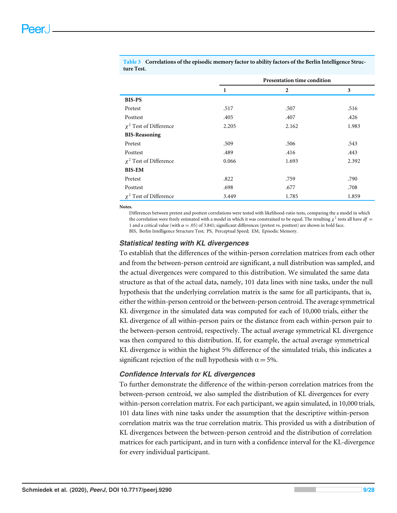<span id="page-8-0"></span>**Table 3 Correlations of the episodic memory factor to ability factors of the Berlin Intelligence Structure Test.**

|                             | Presentation time condition |                |       |
|-----------------------------|-----------------------------|----------------|-------|
|                             | 1                           | $\overline{2}$ | 3     |
| <b>BIS-PS</b>               |                             |                |       |
| Pretest                     | .517                        | .507           | .516  |
| Posttest                    | .405                        | .407           | .426  |
| $\chi^2$ Test of Difference | 2.205                       | 2.162          | 1.983 |
| <b>BIS-Reasoning</b>        |                             |                |       |
| Pretest                     | .509                        | .506           | .543  |
| Posttest                    | .489                        | .416           | .443  |
| $\chi^2$ Test of Difference | 0.066                       | 1.693          | 2.392 |
| <b>BIS-EM</b>               |                             |                |       |
| Pretest                     | .822                        | .759           | .790  |
| Posttest                    | .698                        | .677           | .708  |
| $\chi^2$ Test of Difference | 3.449                       | 1.785          | 1.859 |

**Notes.**

Differences between pretest and posttest correlations were tested with likelihood-ratio tests, comparing the a model in which the correlation were freely estimated with a model in which it was constrained to be equal. The resulting  $\chi^2$  tests all have  $df =$ 1 and a critical value (with  $\alpha = .05$ ) of 3.841; significant differences (pretest vs. posttest) are shown in bold face. BIS, Berlin Intelligence Structure Test; PS, Perceptual Speed; EM, Episodic Memory.

#### *Statistical testing with KL divergences*

To establish that the differences of the within-person correlation matrices from each other and from the between-person centroid are significant, a null distribution was sampled, and the actual divergences were compared to this distribution. We simulated the same data structure as that of the actual data, namely, 101 data lines with nine tasks, under the null hypothesis that the underlying correlation matrix is the same for all participants, that is, either the within-person centroid or the between-person centroid. The average symmetrical KL divergence in the simulated data was computed for each of 10,000 trials, either the KL divergence of all within-person pairs or the distance from each within-person pair to the between-person centroid, respectively. The actual average symmetrical KL divergence was then compared to this distribution. If, for example, the actual average symmetrical KL divergence is within the highest 5% difference of the simulated trials, this indicates a significant rejection of the null hypothesis with  $\alpha = 5\%$ .

#### *Confidence Intervals for KL divergences*

To further demonstrate the difference of the within-person correlation matrices from the between-person centroid, we also sampled the distribution of KL divergences for every within-person correlation matrix. For each participant, we again simulated, in 10,000 trials, 101 data lines with nine tasks under the assumption that the descriptive within-person correlation matrix was the true correlation matrix. This provided us with a distribution of KL divergences between the between-person centroid and the distribution of correlation matrices for each participant, and in turn with a confidence interval for the KL-divergence for every individual participant.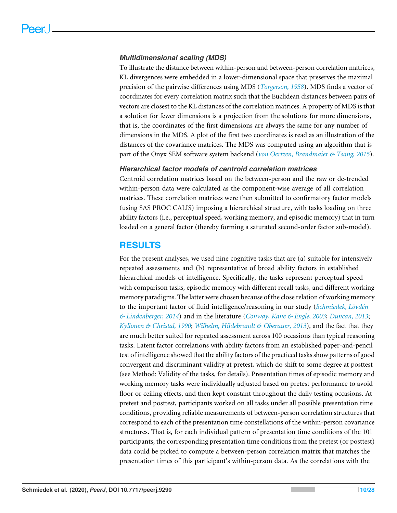#### *Multidimensional scaling (MDS)*

To illustrate the distance between within-person and between-person correlation matrices, KL divergences were embedded in a lower-dimensional space that preserves the maximal precision of the pairwise differences using MDS (*[Torgerson, 1958](#page-26-7)*). MDS finds a vector of coordinates for every correlation matrix such that the Euclidean distances between pairs of vectors are closest to the KL distances of the correlation matrices. A property of MDS is that a solution for fewer dimensions is a projection from the solutions for more dimensions, that is, the coordinates of the first dimensions are always the same for any number of dimensions in the MDS. A plot of the first two coordinates is read as an illustration of the distances of the covariance matrices. The MDS was computed using an algorithm that is part of the Onyx SEM software system backend (*[von Oertzen, Brandmaier & Tsang, 2015](#page-27-0)*).

#### *Hierarchical factor models of centroid correlation matrices*

Centroid correlation matrices based on the between-person and the raw or de-trended within-person data were calculated as the component-wise average of all correlation matrices. These correlation matrices were then submitted to confirmatory factor models (using SAS PROC CALIS) imposing a hierarchical structure, with tasks loading on three ability factors (i.e., perceptual speed, working memory, and episodic memory) that in turn loaded on a general factor (thereby forming a saturated second-order factor sub-model).

#### **RESULTS**

For the present analyses, we used nine cognitive tasks that are (a) suitable for intensively repeated assessments and (b) representative of broad ability factors in established hierarchical models of intelligence. Specifically, the tasks represent perceptual speed with comparison tasks, episodic memory with different recall tasks, and different working memory paradigms. The latter were chosen because of the close relation of working memory to the important factor of fluid intelligence/reasoning in our study (*[Schmiedek, Lövdén](#page-26-8) [& Lindenberger, 2014](#page-26-8)*) and in the literature (*[Conway, Kane & Engle, 2003](#page-23-6)*; *[Duncan, 2013](#page-24-8)*; *[Kyllonen & Christal, 1990](#page-24-9)*; *[Wilhelm, Hildebrandt & Oberauer,](#page-27-1) [2013](#page-27-1)*), and the fact that they are much better suited for repeated assessment across 100 occasions than typical reasoning tasks. Latent factor correlations with ability factors from an established paper-and-pencil test of intelligence showed that the ability factors of the practiced tasks show patterns of good convergent and discriminant validity at pretest, which do shift to some degree at posttest (see Method: Validity of the tasks, for details). Presentation times of episodic memory and working memory tasks were individually adjusted based on pretest performance to avoid floor or ceiling effects, and then kept constant throughout the daily testing occasions. At pretest and posttest, participants worked on all tasks under all possible presentation time conditions, providing reliable measurements of between-person correlation structures that correspond to each of the presentation time constellations of the within-person covariance structures. That is, for each individual pattern of presentation time conditions of the 101 participants, the corresponding presentation time conditions from the pretest (or posttest) data could be picked to compute a between-person correlation matrix that matches the presentation times of this participant's within-person data. As the correlations with the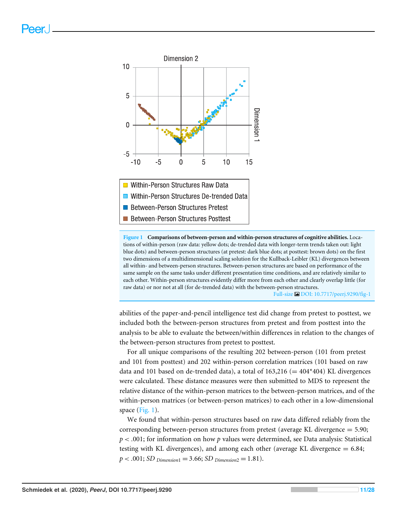<span id="page-10-0"></span>

**Figure 1 Comparisons of between-person and within-person structures of cognitive abilities.** Locations of within-person (raw data: yellow dots; de-trended data with longer-term trends taken out: light blue dots) and between-person structures (at pretest: dark blue dots; at posttest: brown dots) on the first two dimensions of a multidimensional scaling solution for the Kullback-Leibler (KL) divergences between all within- and between-person structures. Between-person structures are based on performance of the same sample on the same tasks under different presentation time conditions, and are relatively similar to each other. Within-person structures evidently differ more from each other and clearly overlap little (for raw data) or nor not at all (for de-trended data) with the between-person structures. Full-size [DOI: 10.7717/peerj.9290/fig-1](https://doi.org/10.7717/peerj.9290/fig-1)

abilities of the paper-and-pencil intelligence test did change from pretest to posttest, we included both the between-person structures from pretest and from posttest into the analysis to be able to evaluate the between/within differences in relation to the changes of the between-person structures from pretest to posttest.

For all unique comparisons of the resulting 202 between-person (101 from pretest and 101 from posttest) and 202 within-person correlation matrices (101 based on raw data and 101 based on de-trended data), a total of  $163,216 (= 404*404)$  KL divergences were calculated. These distance measures were then submitted to MDS to represent the relative distance of the within-person matrices to the between-person matrices, and of the within-person matrices (or between-person matrices) to each other in a low-dimensional space (Fig.  $1$ ).

We found that within-person structures based on raw data differed reliably from the corresponding between-person structures from pretest (average KL divergence = 5.90; *p* < .001; for information on how *p* values were determined, see Data analysis: Statistical testing with KL divergences), and among each other (average KL divergence = 6.84;  $p < .001$ ; *SD Dimension*<sub>1</sub> = 3.66; *SD Dimension*<sub>2</sub> = 1.81).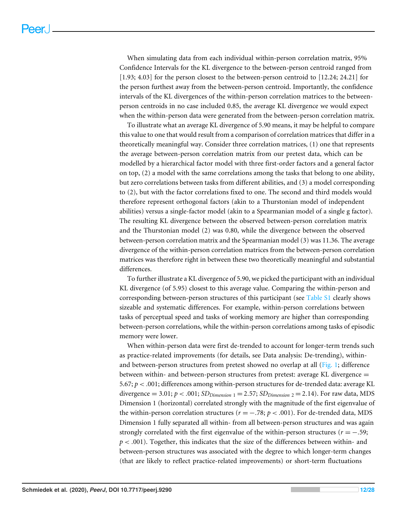When simulating data from each individual within-person correlation matrix, 95% Confidence Intervals for the KL divergence to the between-person centroid ranged from [1.93; 4.03] for the person closest to the between-person centroid to [12.24; 24.21] for the person furthest away from the between-person centroid. Importantly, the confidence intervals of the KL divergences of the within-person correlation matrices to the betweenperson centroids in no case included 0.85, the average KL divergence we would expect when the within-person data were generated from the between-person correlation matrix.

To illustrate what an average KL divergence of 5.90 means, it may be helpful to compare this value to one that would result from a comparison of correlation matrices that differ in a theoretically meaningful way. Consider three correlation matrices, (1) one that represents the average between-person correlation matrix from our pretest data, which can be modelled by a hierarchical factor model with three first-order factors and a general factor on top, (2) a model with the same correlations among the tasks that belong to one ability, but zero correlations between tasks from different abilities, and (3) a model corresponding to (2), but with the factor correlations fixed to one. The second and third models would therefore represent orthogonal factors (akin to a Thurstonian model of independent abilities) versus a single-factor model (akin to a Spearmanian model of a single g factor). The resulting KL divergence between the observed between-person correlation matrix and the Thurstonian model (2) was 0.80, while the divergence between the observed between-person correlation matrix and the Spearmanian model (3) was 11.36. The average divergence of the within-person correlation matrices from the between-person correlation matrices was therefore right in between these two theoretically meaningful and substantial differences.

To further illustrate a KL divergence of 5.90, we picked the participant with an individual KL divergence (of 5.95) closest to this average value. Comparing the within-person and corresponding between-person structures of this participant (see [Table S1](http://dx.doi.org/10.7717/peerj.9290#supp-2) clearly shows sizeable and systematic differences. For example, within-person correlations between tasks of perceptual speed and tasks of working memory are higher than corresponding between-person correlations, while the within-person correlations among tasks of episodic memory were lower.

When within-person data were first de-trended to account for longer-term trends such as practice-related improvements (for details, see Data analysis: De-trending), within-and between-person structures from pretest showed no overlap at all [\(Fig. 1;](#page-10-0) difference between within- and between-person structures from pretest: average KL divergence = 5.67; *p* < .001; differences among within-person structures for de-trended data: average KL divergence = 3.01;  $p < .001$ ;  $SD_{Dimension\ 1} = 2.57$ ;  $SD_{Dimension\ 2} = 2.14$ ). For raw data, MDS Dimension 1 (horizontal) correlated strongly with the magnitude of the first eigenvalue of the within-person correlation structures ( $r = -.78$ ;  $p < .001$ ). For de-trended data, MDS Dimension 1 fully separated all within- from all between-person structures and was again strongly correlated with the first eigenvalue of the within-person structures ( $r = -0.59$ ; *p* < .001). Together, this indicates that the size of the differences between within- and between-person structures was associated with the degree to which longer-term changes (that are likely to reflect practice-related improvements) or short-term fluctuations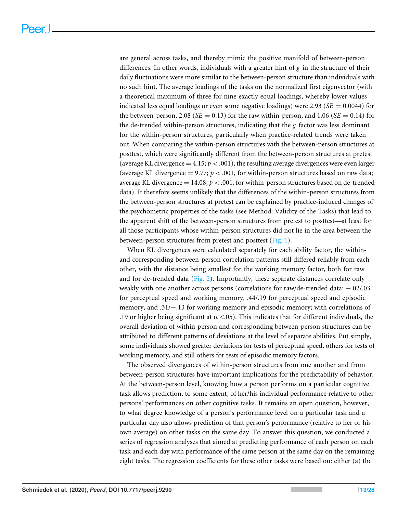are general across tasks, and thereby mimic the positive manifold of between-person differences. In other words, individuals with a greater hint of *g* in the structure of their daily fluctuations were more similar to the between-person structure than individuals with no such hint. The average loadings of the tasks on the normalized first eigenvector (with a theoretical maximum of three for nine exactly equal loadings, whereby lower values indicated less equal loadings or even some negative loadings) were 2.93 (*SE* = 0.0044) for the between-person, 2.08 ( $SE = 0.13$ ) for the raw within-person, and 1.06 ( $SE = 0.14$ ) for the de-trended within-person structures, indicating that the *g* factor was less dominant for the within-person structures, particularly when practice-related trends were taken out. When comparing the within-person structures with the between-person structures at posttest, which were significantly different from the between-person structures at pretest (average KL divergence  $=$  4.15;  $p < .001$ ), the resulting average divergences were even larger (average KL divergence  $= 9.77$ ;  $p < .001$ , for within-person structures based on raw data; average KL divergence  $= 14.08; p < .001$ , for within-person structures based on de-trended data). It therefore seems unlikely that the differences of the within-person structures from the between-person structures at pretest can be explained by practice-induced changes of the psychometric properties of the tasks (see Method: Validity of the Tasks) that lead to the apparent shift of the between-person structures from pretest to posttest—at least for all those participants whose within-person structures did not lie in the area between the between-person structures from pretest and posttest [\(Fig. 1\)](#page-10-0).

When KL divergences were calculated separately for each ability factor, the withinand corresponding between-person correlation patterns still differed reliably from each other, with the distance being smallest for the working memory factor, both for raw and for de-trended data [\(Fig. 2\)](#page-13-0). Importantly, these separate distances correlate only weakly with one another across persons (correlations for raw/de-trended data: −.02/.03 for perceptual speed and working memory, .44/.19 for perceptual speed and episodic memory, and .31/−.13 for working memory and episodic memory; with correlations of .19 or higher being significant at  $\alpha$  <.05). This indicates that for different individuals, the overall deviation of within-person and corresponding between-person structures can be attributed to different patterns of deviations at the level of separate abilities. Put simply, some individuals showed greater deviations for tests of perceptual speed, others for tests of working memory, and still others for tests of episodic memory factors.

The observed divergences of within-person structures from one another and from between-person structures have important implications for the predictability of behavior. At the between-person level, knowing how a person performs on a particular cognitive task allows prediction, to some extent, of her/his individual performance relative to other persons' performances on other cognitive tasks. It remains an open question, however, to what degree knowledge of a person's performance level on a particular task and a particular day also allows prediction of that person's performance (relative to her or his own average) on other tasks on the same day. To answer this question, we conducted a series of regression analyses that aimed at predicting performance of each person on each task and each day with performance of the same person at the same day on the remaining eight tasks. The regression coefficients for these other tasks were based on: either (a) the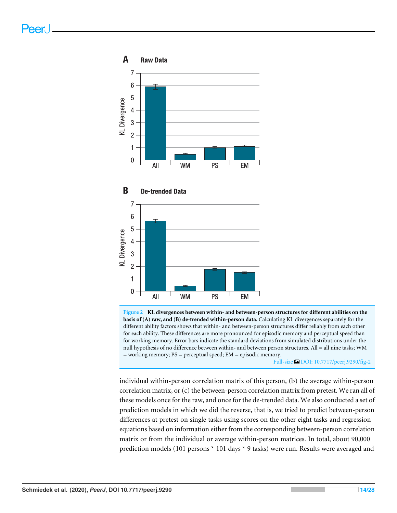<span id="page-13-0"></span>

**Figure 2 KL divergences between within- and between-person structures for different abilities on the basis of (A) raw, and (B) de-trended within-person data.** Calculating KL divergences separately for the different ability factors shows that within- and between-person structures differ reliably from each other for each ability. These differences are more pronounced for episodic memory and perceptual speed than for working memory. Error bars indicate the standard deviations from simulated distributions under the null hypothesis of no difference between within- and between person structures. All = all nine tasks; WM = working memory; PS = perceptual speed; EM = episodic memory.

Full-size [DOI: 10.7717/peerj.9290/fig-2](https://doi.org/10.7717/peerj.9290/fig-2)

individual within-person correlation matrix of this person, (b) the average within-person correlation matrix, or (c) the between-person correlation matrix from pretest. We ran all of these models once for the raw, and once for the de-trended data. We also conducted a set of prediction models in which we did the reverse, that is, we tried to predict between-person differences at pretest on single tasks using scores on the other eight tasks and regression equations based on information either from the corresponding between-person correlation matrix or from the individual or average within-person matrices. In total, about 90,000 prediction models (101 persons \* 101 days \* 9 tasks) were run. Results were averaged and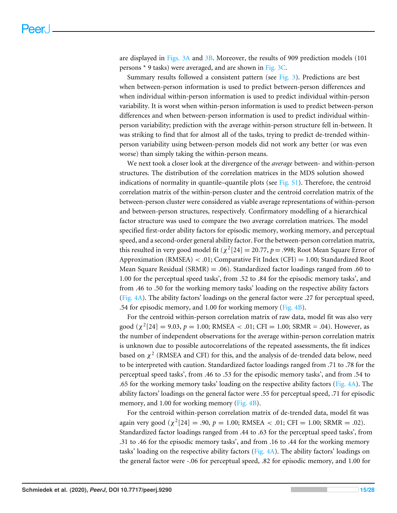are displayed in [Figs. 3A](#page-15-0) and [3B.](#page-15-0) Moreover, the results of 909 prediction models (101 persons \* 9 tasks) were averaged, and are shown in [Fig. 3C.](#page-15-0)

Summary results followed a consistent pattern (see [Fig. 3\)](#page-15-0). Predictions are best when between-person information is used to predict between-person differences and when individual within-person information is used to predict individual within-person variability. It is worst when within-person information is used to predict between-person differences and when between-person information is used to predict individual withinperson variability; prediction with the average within-person structure fell in-between. It was striking to find that for almost all of the tasks, trying to predict de-trended withinperson variability using between-person models did not work any better (or was even worse) than simply taking the within-person means.

We next took a closer look at the divergence of the *average* between- and within-person structures. The distribution of the correlation matrices in the MDS solution showed indications of normality in quantile–quantile plots (see [Fig. S1\)](http://dx.doi.org/10.7717/peerj.9290#supp-1). Therefore, the centroid correlation matrix of the within-person cluster and the centroid correlation matrix of the between-person cluster were considered as viable average representations of within-person and between-person structures, respectively. Confirmatory modelling of a hierarchical factor structure was used to compare the two average correlation matrices. The model specified first-order ability factors for episodic memory, working memory, and perceptual speed, and a second-order general ability factor. For the between-person correlation matrix, this resulted in very good model fit ( $\chi^2[24] = 20.77$ ,  $p = .998$ ; Root Mean Square Error of Approximation (RMSEA) < .01; Comparative Fit Index (CFI) = 1.00; Standardized Root Mean Square Residual (SRMR) = .06). Standardized factor loadings ranged from .60 to 1.00 for the perceptual speed tasks', from .52 to .84 for the episodic memory tasks', and from .46 to .50 for the working memory tasks' loading on the respective ability factors [\(Fig. 4A\)](#page-17-0). The ability factors' loadings on the general factor were .27 for perceptual speed, .54 for episodic memory, and 1.00 for working memory [\(Fig. 4B\)](#page-17-0).

For the centroid within-person correlation matrix of raw data, model fit was also very good ( $\chi^2[24] = 9.03$ ,  $p = 1.00$ ; RMSEA < .01; CFI = 1.00; SRMR = .04). However, as the number of independent observations for the average within-person correlation matrix is unknown due to possible autocorrelations of the repeated assessments, the fit indices based on  $\chi^2$  (RMSEA and CFI) for this, and the analysis of de-trended data below, need to be interpreted with caution. Standardized factor loadings ranged from .71 to .78 for the perceptual speed tasks', from .46 to .53 for the episodic memory tasks', and from .54 to .65 for the working memory tasks' loading on the respective ability factors [\(Fig. 4A\)](#page-17-0). The ability factors' loadings on the general factor were .55 for perceptual speed, .71 for episodic memory, and 1.00 for working memory [\(Fig. 4B\)](#page-17-0).

For the centroid within-person correlation matrix of de-trended data, model fit was again very good ( $\chi^2[24] = .90$ ,  $p = 1.00$ ; RMSEA < .01; CFI = 1.00; SRMR = .02). Standardized factor loadings ranged from .44 to .63 for the perceptual speed tasks', from .31 to .46 for the episodic memory tasks', and from .16 to .44 for the working memory tasks' loading on the respective ability factors [\(Fig. 4A\)](#page-17-0). The ability factors' loadings on the general factor were -.06 for perceptual speed, .82 for episodic memory, and 1.00 for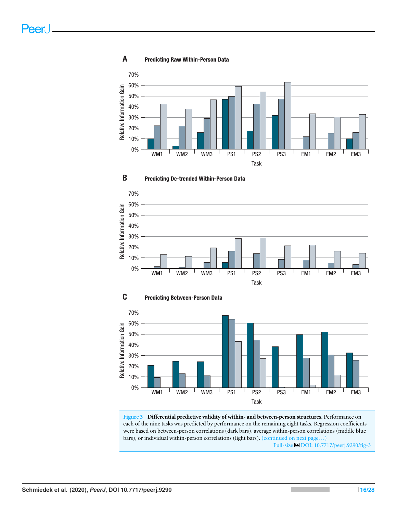

#### <span id="page-15-0"></span>A **Predicting Raw Within-Person Data**









**Figure 3 Differential predictive validity of within- and between-person structures.** Performance on each of the nine tasks was predicted by performance on the remaining eight tasks. Regression coefficients were based on between-person correlations (dark bars), average within-person correlations (middle blue bars), or individual within-person correlations (light bars). (continued on next page...) Full-size [DOI: 10.7717/peerj.9290/fig-3](https://doi.org/10.7717/peerj.9290/fig-3)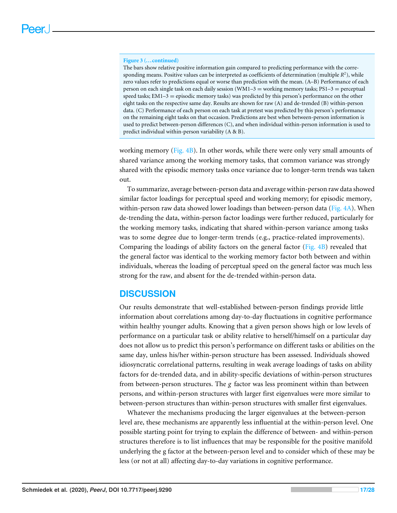#### **Figure 3 (...continued)**

The bars show relative positive information gain compared to predicting performance with the corresponding means. Positive values can be interpreted as coefficients of determination (multiple *R* 2 ), while zero values refer to predictions equal or worse than prediction with the mean. (A–B) Performance of each person on each single task on each daily session (WM1–3 = working memory tasks; PS1–3 = perceptual speed tasks; EM1-3 = episodic memory tasks) was predicted by this person's performance on the other eight tasks on the respective same day. Results are shown for raw (A) and de-trended (B) within-person data. (C) Performance of each person on each task at pretest was predicted by this person's performance on the remaining eight tasks on that occasion. Predictions are best when between-person information is used to predict between-person differences (C), and when individual within-person information is used to predict individual within-person variability (A & B).

working memory [\(Fig. 4B\)](#page-17-0). In other words, while there were only very small amounts of shared variance among the working memory tasks, that common variance was strongly shared with the episodic memory tasks once variance due to longer-term trends was taken out.

To summarize, average between-person data and average within-person raw data showed similar factor loadings for perceptual speed and working memory; for episodic memory, within-person raw data showed lower loadings than between-person data [\(Fig. 4A\)](#page-17-0). When de-trending the data, within-person factor loadings were further reduced, particularly for the working memory tasks, indicating that shared within-person variance among tasks was to some degree due to longer-term trends (e.g., practice-related improvements). Comparing the loadings of ability factors on the general factor [\(Fig. 4B\)](#page-17-0) revealed that the general factor was identical to the working memory factor both between and within individuals, whereas the loading of perceptual speed on the general factor was much less strong for the raw, and absent for the de-trended within-person data.

#### **DISCUSSION**

Our results demonstrate that well-established between-person findings provide little information about correlations among day-to-day fluctuations in cognitive performance within healthy younger adults. Knowing that a given person shows high or low levels of performance on a particular task or ability relative to herself/himself on a particular day does not allow us to predict this person's performance on different tasks or abilities on the same day, unless his/her within-person structure has been assessed. Individuals showed idiosyncratic correlational patterns, resulting in weak average loadings of tasks on ability factors for de-trended data, and in ability-specific deviations of within-person structures from between-person structures. The *g* factor was less prominent within than between persons, and within-person structures with larger first eigenvalues were more similar to between-person structures than within-person structures with smaller first eigenvalues.

Whatever the mechanisms producing the larger eigenvalues at the between-person level are, these mechanisms are apparently less influential at the within-person level. One possible starting point for trying to explain the difference of between- and within-person structures therefore is to list influences that may be responsible for the positive manifold underlying the g factor at the between-person level and to consider which of these may be less (or not at all) affecting day-to-day variations in cognitive performance.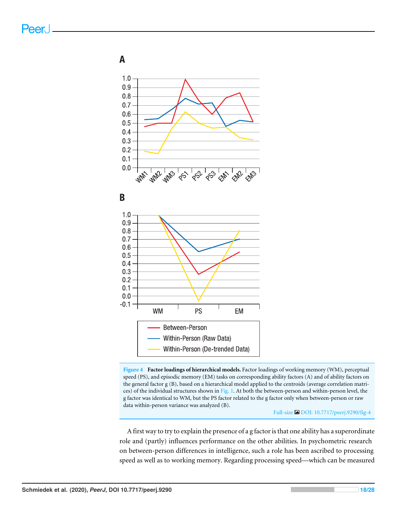<span id="page-17-0"></span>A







**Figure 4 Factor loadings of hierarchical models.** Factor loadings of working memory (WM), perceptual speed (PS), and episodic memory (EM) tasks on corresponding ability factors (A) and of ability factors on the general factor g (B), based on a hierarchical model applied to the centroids (average correlation matrices) of the individual structures shown in [Fig. 1.](#page-10-0) At both the between-person and within-person level, the g factor was identical to WM, but the PS factor related to the g factor only when between-person or raw data within-person variance was analyzed (B).

Full-size [DOI: 10.7717/peerj.9290/fig-4](https://doi.org/10.7717/peerj.9290/fig-4)

A first way to try to explain the presence of a g factor is that one ability has a superordinate role and (partly) influences performance on the other abilities. In psychometric research on between-person differences in intelligence, such a role has been ascribed to processing speed as well as to working memory. Regarding processing speed—which can be measured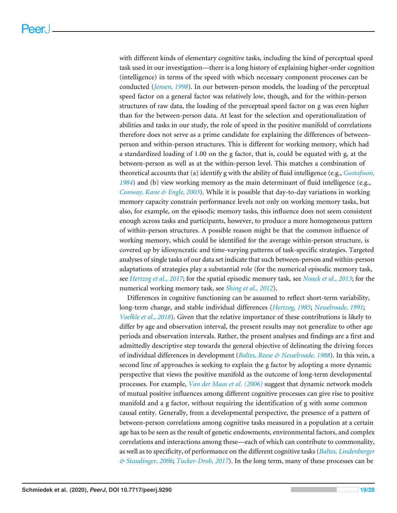with different kinds of elementary cognitive tasks, including the kind of perceptual speed task used in our investigation—there is a long history of explaining higher-order cognition (intelligence) in terms of the speed with which necessary component processes can be conducted (*[Jensen, 1998](#page-24-0)*). In our between-person models, the loading of the perceptual speed factor on a general factor was relatively low, though, and for the within-person structures of raw data, the loading of the perceptual speed factor on g was even higher than for the between-person data. At least for the selection and operationalization of abilities and tasks in our study, the role of speed in the positive manifold of correlations therefore does not serve as a prime candidate for explaining the differences of betweenperson and within-person structures. This is different for working memory, which had a standardized loading of 1.00 on the g factor, that is, could be equated with g, at the between-person as well as at the within-person level. This matches a combination of theoretical accounts that (a) identify g with the ability of fluid intelligence (e.g., *[Gustafsson,](#page-24-10) [1984](#page-24-10)*) and (b) view working memory as the main determinant of fluid intelligence (e.g., *[Conway, Kane & Engle, 2003](#page-23-6)*). While it is possible that day-to-day variations in working memory capacity constrain performance levels not only on working memory tasks, but also, for example, on the episodic memory tasks, this influence does not seem consistent enough across tasks and participants, however, to produce a more homogeneous pattern of within-person structures. A possible reason might be that the common influence of working memory, which could be identified for the average within-person structure, is covered up by idiosyncratic and time-varying patterns of task-specific strategies. Targeted analyses of single tasks of our data set indicate that such between-person and within-person adaptations of strategies play a substantial role (for the numerical episodic memory task, see *[Hertzog et al.,](#page-24-11) [2017](#page-24-11)*; for the spatial episodic memory task, see *[Noack et al., 2013](#page-25-6)*; for the numerical working memory task, see *[Shing et al.,](#page-26-9) [2012](#page-26-9)*).

Differences in cognitive functioning can be assumed to reflect short-term variability, long-term change, and stable individual differences (*[Hertzog, 1985](#page-24-12)*; *[Nesselroade, 1991](#page-25-7)*; *[Voelkle et al., 2018](#page-26-10)*). Given that the relative importance of these contributions is likely to differ by age and observation interval, the present results may not generalize to other age periods and observation intervals. Rather, the present analyses and findings are a first and admittedly descriptive step towards the general objective of delineating the driving forces of individual differences in development (*[Baltes, Reese & Nesselroade, 1988](#page-23-7)*). In this vein, a second line of approaches is seeking to explain the g factor by adopting a more dynamic perspective that views the positive manifold as the outcome of long-term developmental processes. For example, *[Van der Maas et al.](#page-26-11) [\(2006\)](#page-26-11)* suggest that dynamic network models of mutual positive influences among different cognitive processes can give rise to positive manifold and a g factor, without requiring the identification of g with some common causal entity. Generally, from a developmental perspective, the presence of a pattern of between-person correlations among cognitive tasks measured in a population at a certain age has to be seen as the result of genetic endowments, environmental factors, and complex correlations and interactions among these—each of which can contribute to commonality, as well as to specificity, of performance on the different cognitive tasks (*[Baltes, Lindenberger](#page-23-8) [& Staudinger, 2006](#page-23-8)*; *[Tucker-Drob, 2017](#page-26-12)*). In the long term, many of these processes can be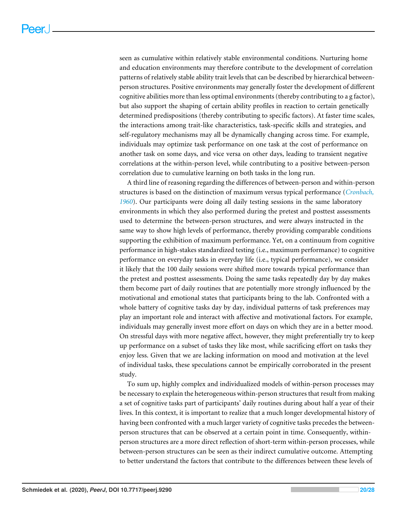seen as cumulative within relatively stable environmental conditions. Nurturing home and education environments may therefore contribute to the development of correlation patterns of relatively stable ability trait levels that can be described by hierarchical betweenperson structures. Positive environments may generally foster the development of different cognitive abilities more than less optimal environments (thereby contributing to a g factor), but also support the shaping of certain ability profiles in reaction to certain genetically determined predispositions (thereby contributing to specific factors). At faster time scales, the interactions among trait-like characteristics, task-specific skills and strategies, and self-regulatory mechanisms may all be dynamically changing across time. For example, individuals may optimize task performance on one task at the cost of performance on another task on some days, and vice versa on other days, leading to transient negative correlations at the within-person level, while contributing to a positive between-person correlation due to cumulative learning on both tasks in the long run.

A third line of reasoning regarding the differences of between-person and within-person structures is based on the distinction of maximum versus typical performance (*[Cronbach,](#page-23-9) [1960](#page-23-9)*). Our participants were doing all daily testing sessions in the same laboratory environments in which they also performed during the pretest and posttest assessments used to determine the between-person structures, and were always instructed in the same way to show high levels of performance, thereby providing comparable conditions supporting the exhibition of maximum performance. Yet, on a continuum from cognitive performance in high-stakes standardized testing (i.e., maximum performance) to cognitive performance on everyday tasks in everyday life (i.e., typical performance), we consider it likely that the 100 daily sessions were shifted more towards typical performance than the pretest and posttest assessments. Doing the same tasks repeatedly day by day makes them become part of daily routines that are potentially more strongly influenced by the motivational and emotional states that participants bring to the lab. Confronted with a whole battery of cognitive tasks day by day, individual patterns of task preferences may play an important role and interact with affective and motivational factors. For example, individuals may generally invest more effort on days on which they are in a better mood. On stressful days with more negative affect, however, they might preferentially try to keep up performance on a subset of tasks they like most, while sacrificing effort on tasks they enjoy less. Given that we are lacking information on mood and motivation at the level of individual tasks, these speculations cannot be empirically corroborated in the present study.

To sum up, highly complex and individualized models of within-person processes may be necessary to explain the heterogeneous within-person structures that result from making a set of cognitive tasks part of participants' daily routines during about half a year of their lives. In this context, it is important to realize that a much longer developmental history of having been confronted with a much larger variety of cognitive tasks precedes the betweenperson structures that can be observed at a certain point in time. Consequently, withinperson structures are a more direct reflection of short-term within-person processes, while between-person structures can be seen as their indirect cumulative outcome. Attempting to better understand the factors that contribute to the differences between these levels of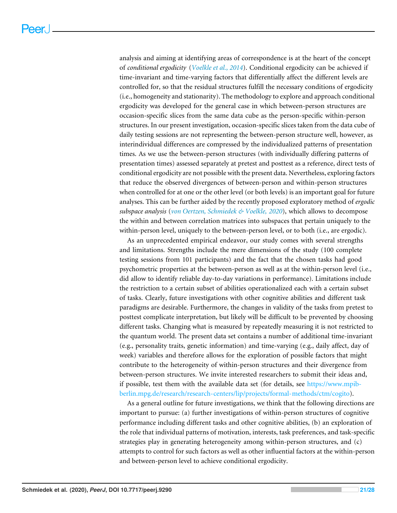analysis and aiming at identifying areas of correspondence is at the heart of the concept of *conditional ergodicity* (*[Voelkle et al., 2014](#page-26-3)*). Conditional ergodicity can be achieved if time-invariant and time-varying factors that differentially affect the different levels are controlled for, so that the residual structures fulfill the necessary conditions of ergodicity (i.e., homogeneity and stationarity). The methodology to explore and approach conditional ergodicity was developed for the general case in which between-person structures are occasion-specific slices from the same data cube as the person-specific within-person structures. In our present investigation, occasion-specific slices taken from the data cube of daily testing sessions are not representing the between-person structure well, however, as interindividual differences are compressed by the individualized patterns of presentation times. As we use the between-person structures (with individually differing patterns of presentation times) assessed separately at pretest and posttest as a reference, direct tests of conditional ergodicity are not possible with the present data. Nevertheless, exploring factors that reduce the observed divergences of between-person and within-person structures when controlled for at one or the other level (or both levels) is an important goal for future analyses. This can be further aided by the recently proposed exploratory method of *ergodic subspace analysis* (*[von Oertzen, Schmiedek & Voelkle,](#page-27-2) [2020](#page-27-2)*), which allows to decompose the within and between correlation matrices into subspaces that pertain uniquely to the within-person level, uniquely to the between-person level, or to both (i.e., are ergodic).

As an unprecedented empirical endeavor, our study comes with several strengths and limitations. Strengths include the mere dimensions of the study (100 complete testing sessions from 101 participants) and the fact that the chosen tasks had good psychometric properties at the between-person as well as at the within-person level (i.e., did allow to identify reliable day-to-day variations in performance). Limitations include the restriction to a certain subset of abilities operationalized each with a certain subset of tasks. Clearly, future investigations with other cognitive abilities and different task paradigms are desirable. Furthermore, the changes in validity of the tasks from pretest to posttest complicate interpretation, but likely will be difficult to be prevented by choosing different tasks. Changing what is measured by repeatedly measuring it is not restricted to the quantum world. The present data set contains a number of additional time-invariant (e.g., personality traits, genetic information) and time-varying (e.g., daily affect, day of week) variables and therefore allows for the exploration of possible factors that might contribute to the heterogeneity of within-person structures and their divergence from between-person structures. We invite interested researchers to submit their ideas and, if possible, test them with the available data set (for details, see [https://www.mpib](https://www.mpib-berlin.mpg.de/research/research-centers/lip/projects/formal-methods/ctm/cogito)[berlin.mpg.de/research/research-centers/lip/projects/formal-methods/ctm/cogito\)](https://www.mpib-berlin.mpg.de/research/research-centers/lip/projects/formal-methods/ctm/cogito).

As a general outline for future investigations, we think that the following directions are important to pursue: (a) further investigations of within-person structures of cognitive performance including different tasks and other cognitive abilities, (b) an exploration of the role that individual patterns of motivation, interests, task preferences, and task-specific strategies play in generating heterogeneity among within-person structures, and (c) attempts to control for such factors as well as other influential factors at the within-person and between-person level to achieve conditional ergodicity.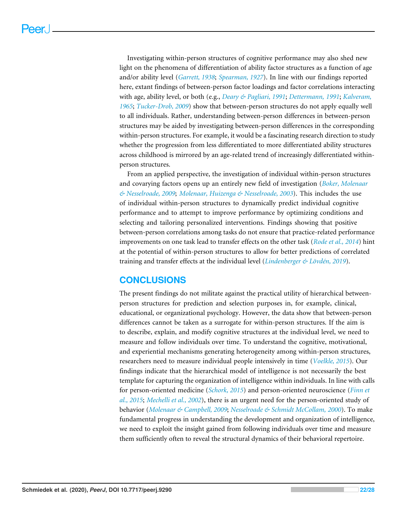Investigating within-person structures of cognitive performance may also shed new light on the phenomena of differentiation of ability factor structures as a function of age and/or ability level (*[Garrett, 1938](#page-24-13)*; *[Spearman, 1927](#page-26-0)*). In line with our findings reported here, extant findings of between-person factor loadings and factor correlations interacting with age, ability level, or both (e.g., *[Deary & Pagliari, 1991](#page-23-10)*; *[Dettermann,](#page-24-14) [1991](#page-24-14)*; *[Kalveram,](#page-24-15) [1965](#page-24-15)*; *[Tucker-Drob, 2009](#page-26-13)*) show that between-person structures do not apply equally well to all individuals. Rather, understanding between-person differences in between-person structures may be aided by investigating between-person differences in the corresponding within-person structures. For example, it would be a fascinating research direction to study whether the progression from less differentiated to more differentiated ability structures across childhood is mirrored by an age-related trend of increasingly differentiated withinperson structures.

From an applied perspective, the investigation of individual within-person structures and covarying factors opens up an entirely new field of investigation (*[Boker, Molenaar](#page-23-11) [& Nesselroade, 2009](#page-23-11)*; *[Molenaar, Huizenga & Nesselroade, 2003](#page-25-1)*). This includes the use of individual within-person structures to dynamically predict individual cognitive performance and to attempt to improve performance by optimizing conditions and selecting and tailoring personalized interventions. Findings showing that positive between-person correlations among tasks do not ensure that practice-related performance improvements on one task lead to transfer effects on the other task (*[Rode et al., 2014](#page-25-8)*) hint at the potential of within-person structures to allow for better predictions of correlated training and transfer effects at the individual level (*[Lindenberger & Lövdén, 2019](#page-25-9)*).

## **CONCLUSIONS**

The present findings do not militate against the practical utility of hierarchical betweenperson structures for prediction and selection purposes in, for example, clinical, educational, or organizational psychology. However, the data show that between-person differences cannot be taken as a surrogate for within-person structures. If the aim is to describe, explain, and modify cognitive structures at the individual level, we need to measure and follow individuals over time. To understand the cognitive, motivational, and experiential mechanisms generating heterogeneity among within-person structures, researchers need to measure individual people intensively in time (*[Voelkle, 2015](#page-26-14)*). Our findings indicate that the hierarchical model of intelligence is not necessarily the best template for capturing the organization of intelligence within individuals. In line with calls for person-oriented medicine (*[Schork, 2015](#page-26-15)*) and person-oriented neuroscience (*[Finn et](#page-24-16) [al., 2015](#page-24-16)*; *[Mechelli et al., 2002](#page-25-10)*), there is an urgent need for the person-oriented study of behavior (*[Molenaar & Campbell, 2009](#page-25-11)*; *[Nesselroade & Schmidt McCollam,](#page-25-12) [2000](#page-25-12)*). To make fundamental progress in understanding the development and organization of intelligence, we need to exploit the insight gained from following individuals over time and measure them sufficiently often to reveal the structural dynamics of their behavioral repertoire.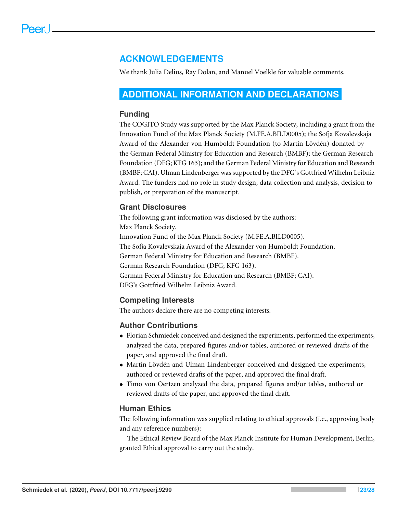## **ACKNOWLEDGEMENTS**

We thank Julia Delius, Ray Dolan, and Manuel Voelkle for valuable comments.

#### <span id="page-22-0"></span>**ADDITIONAL INFORMATION AND DECLARATIONS**

#### **Funding**

The COGITO Study was supported by the Max Planck Society, including a grant from the Innovation Fund of the Max Planck Society (M.FE.A.BILD0005); the Sofja Kovalevskaja Award of the Alexander von Humboldt Foundation (to Martin Lövdén) donated by the German Federal Ministry for Education and Research (BMBF); the German Research Foundation (DFG; KFG 163); and the German Federal Ministry for Education and Research (BMBF; CAI). Ulman Lindenberger was supported by the DFG's Gottfried Wilhelm Leibniz Award. The funders had no role in study design, data collection and analysis, decision to publish, or preparation of the manuscript.

#### **Grant Disclosures**

The following grant information was disclosed by the authors: Max Planck Society. Innovation Fund of the Max Planck Society (M.FE.A.BILD0005). The Sofja Kovalevskaja Award of the Alexander von Humboldt Foundation. German Federal Ministry for Education and Research (BMBF). German Research Foundation (DFG; KFG 163). German Federal Ministry for Education and Research (BMBF; CAI). DFG's Gottfried Wilhelm Leibniz Award.

#### **Competing Interests**

The authors declare there are no competing interests.

#### **Author Contributions**

- [Florian Schmiedek](#page-0-6) conceived and designed the experiments, performed the experiments, analyzed the data, prepared figures and/or tables, authored or reviewed drafts of the paper, and approved the final draft.
- [Martin Lövdén](#page-0-7) and [Ulman Lindenberger](#page-0-8) conceived and designed the experiments, authored or reviewed drafts of the paper, and approved the final draft.
- [Timo von Oertzen](#page-0-9) analyzed the data, prepared figures and/or tables, authored or reviewed drafts of the paper, and approved the final draft.

#### **Human Ethics**

The following information was supplied relating to ethical approvals (i.e., approving body and any reference numbers):

The Ethical Review Board of the Max Planck Institute for Human Development, Berlin, granted Ethical approval to carry out the study.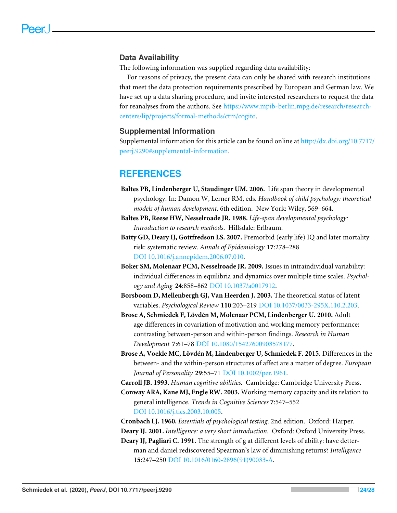#### **Data Availability**

The following information was supplied regarding data availability:

For reasons of privacy, the present data can only be shared with research institutions that meet the data protection requirements prescribed by European and German law. We have set up a data sharing procedure, and invite interested researchers to request the data for reanalyses from the authors. See [https://www.mpib-berlin.mpg.de/research/research](https://www.mpib-berlin.mpg.de/research/research-centers/lip/projects/formal-methods/ctm/cogito)[centers/lip/projects/formal-methods/ctm/cogito.](https://www.mpib-berlin.mpg.de/research/research-centers/lip/projects/formal-methods/ctm/cogito)

#### **Supplemental Information**

Supplemental information for this article can be found online at [http://dx.doi.org/10.7717/](http://dx.doi.org/10.7717/peerj.9290#supplemental-information) [peerj.9290#supplemental-information.](http://dx.doi.org/10.7717/peerj.9290#supplemental-information)

#### **REFERENCES**

- <span id="page-23-8"></span>**Baltes PB, Lindenberger U, Staudinger UM. 2006.** Life span theory in developmental psychology. In: Damon W, Lerner RM, eds. *Handbook of child psychology: theoretical models of human development*. 6th edition. New York: Wiley, 569–664.
- <span id="page-23-7"></span>**Baltes PB, Reese HW, Nesselroade JR. 1988.** *Life-span developmental psychology: Introduction to research methods*. Hillsdale: Erlbaum.
- <span id="page-23-1"></span>**Batty GD, Deary IJ, Gottfredson LS. 2007.** Premorbid (early life) IQ and later mortality risk: systematic review. *Annals of Epidemiology* **17**:278–288 [DOI 10.1016/j.annepidem.2006.07.010.](http://dx.doi.org/10.1016/j.annepidem.2006.07.010)
- <span id="page-23-11"></span>**Boker SM, Molenaar PCM, Nesselroade JR. 2009.** Issues in intraindividual variability: individual differences in equilibria and dynamics over multiple time scales. *Psychology and Aging* **24**:858–862 [DOI 10.1037/a0017912.](http://dx.doi.org/10.1037/a0017912)
- <span id="page-23-5"></span>**Borsboom D, Mellenbergh GJ, Van Heerden J. 2003.** The theoretical status of latent variables. *Psychological Review* **110**:203–219 [DOI 10.1037/0033-295X.110.2.203.](http://dx.doi.org/10.1037/0033-295X.110.2.203)
- <span id="page-23-3"></span>**Brose A, Schmiedek F, Lövdén M, Molenaar PCM, Lindenberger U. 2010.** Adult age differences in covariation of motivation and working memory performance: contrasting between-person and within-person findings. *Research in Human Development* **7**:61–78 [DOI 10.1080/15427600903578177.](http://dx.doi.org/10.1080/15427600903578177)
- <span id="page-23-4"></span>**Brose A, Voekle MC, Lövdén M, Lindenberger U, Schmiedek F. 2015.** Differences in the between- and the within-person structures of affect are a matter of degree. *European Journal of Personality* **29**:55–71 [DOI 10.1002/per.1961.](http://dx.doi.org/10.1002/per.1961)
- <span id="page-23-0"></span>**Carroll JB. 1993.** *Human cognitive abilities*. Cambridge: Cambridge University Press.
- <span id="page-23-6"></span>**Conway ARA, Kane MJ, Engle RW. 2003.** Working memory capacity and its relation to general intelligence. *Trends in Cognitive Sciences* **7**:547–552 [DOI 10.1016/j.tics.2003.10.005.](http://dx.doi.org/10.1016/j.tics.2003.10.005)
- <span id="page-23-9"></span>**Cronbach LJ. 1960.** *Essentials of psychological testing*. 2nd edition. Oxford: Harper.

<span id="page-23-2"></span>**Deary IJ. 2001.** *Intelligence: a very short introduction*. Oxford: Oxford University Press.

<span id="page-23-10"></span>**Deary IJ, Pagliari C. 1991.** The strength of g at different levels of ability: have detterman and daniel rediscovered Spearman's law of diminishing returns? *Intelligence* **15**:247–250 [DOI 10.1016/0160-2896\(91\)90033-A.](http://dx.doi.org/10.1016/0160-2896(91)90033-A)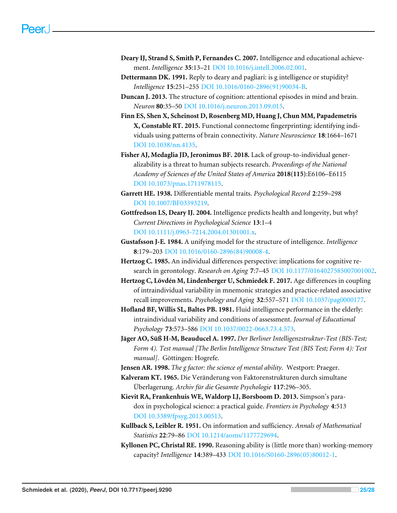- <span id="page-24-1"></span>**Deary IJ, Strand S, Smith P, Fernandes C. 2007.** Intelligence and educational achievement. *Intelligence* **35**:13–21 [DOI 10.1016/j.intell.2006.02.001.](http://dx.doi.org/10.1016/j.intell.2006.02.001)
- <span id="page-24-14"></span>**Dettermann DK. 1991.** Reply to deary and pagliari: is g intelligence or stupidity? *Intelligence* **15**:251–255 [DOI 10.1016/0160-2896\(91\)90034-B.](http://dx.doi.org/10.1016/0160-2896(91)90034-B)
- <span id="page-24-8"></span>**Duncan J. 2013.** The structure of cognition: attentional episodes in mind and brain. *Neuron* **80**:35–50 [DOI 10.1016/j.neuron.2013.09.015.](http://dx.doi.org/10.1016/j.neuron.2013.09.015)
- <span id="page-24-16"></span>**Finn ES, Shen X, Scheinost D, Rosenberg MD, Huang J, Chun MM, Papademetris X, Constable RT. 2015.** Functional connectome fingerprinting: identifying individuals using patterns of brain connectivity. *Nature Neuroscience* **18**:1664–1671 [DOI 10.1038/nn.4135.](http://dx.doi.org/10.1038/nn.4135)
- <span id="page-24-3"></span>**Fisher AJ, Medaglia JD, Jeronimus BF. 2018.** Lack of group-to-individual generalizability is a threat to human subjects research. *Proceedings of the National Academy of Sciences of the United States of America* **2018(115)**:E6106–E6115 [DOI 10.1073/pnas.1711978115.](http://dx.doi.org/10.1073/pnas.1711978115)
- <span id="page-24-13"></span>**Garrett HE. 1938.** Differentiable mental traits. *Psychological Record* **2**:259–298 [DOI 10.1007/BF03393219.](http://dx.doi.org/10.1007/BF03393219)
- <span id="page-24-2"></span>**Gottfredson LS, Deary IJ. 2004.** Intelligence predicts health and longevity, but why? *Current Directions in Psychological Science* **13**:1–4 [DOI 10.1111/j.0963-7214.2004.01301001.x.](http://dx.doi.org/10.1111/j.0963-7214.2004.01301001.x)
- <span id="page-24-10"></span>**Gustafsson J-E. 1984.** A unifying model for the structure of intelligence. *Intelligence* **8**:179–203 [DOI 10.1016/0160-2896\(84\)90008-4.](http://dx.doi.org/10.1016/0160-2896(84)90008-4)
- <span id="page-24-12"></span>**Hertzog C. 1985.** An individual differences perspective: implications for cognitive research in gerontology. *Research on Aging* **7**:7–45 [DOI 10.1177/0164027585007001002.](http://dx.doi.org/10.1177/0164027585007001002)
- <span id="page-24-11"></span>**Hertzog C, Lövdén M, Lindenberger U, Schmiedek F. 2017.** Age differences in coupling of intraindividual variability in mnemonic strategies and practice-related associative recall improvements. *Psychology and Aging* **32**:557–571 [DOI 10.1037/pag0000177.](http://dx.doi.org/10.1037/pag0000177)
- <span id="page-24-7"></span>**Hofland BF, Willis SL, Baltes PB. 1981.** Fluid intelligence performance in the elderly: intraindividual variability and conditions of assessment. *Journal of Educational Psychology* **73**:573–586 [DOI 10.1037/0022-0663.73.4.573.](http://dx.doi.org/10.1037/0022-0663.73.4.573)
- <span id="page-24-6"></span>**Jäger AO, Süß H-M, Beauducel A. 1997.** *Der Berliner Intelligenzstruktur-Test (BIS-Test; Form 4). Test manual [The Berlin Intelligence Structure Test (BIS Test; Form 4): Test manual]*. Göttingen: Hogrefe.
- <span id="page-24-0"></span>**Jensen AR. 1998.** *The g factor: the science of mental ability*. Westport: Praeger.
- <span id="page-24-15"></span>**Kalveram KT. 1965.** Die Veränderung von Faktorenstrukturen durch simultane Überlagerung. *Archiv für die Gesamte Psychologie* **117**:296–305.
- <span id="page-24-4"></span>**Kievit RA, Frankenhuis WE, Waldorp LJ, Borsboom D. 2013.** Simpson's paradox in psychological science: a practical guide. *Frontiers in Psychology* **4**:513 [DOI 10.3389/fpsyg.2013.00513.](http://dx.doi.org/10.3389/fpsyg.2013.00513)
- <span id="page-24-5"></span>**Kullback S, Leibler R. 1951.** On information and sufficiency. *Annals of Mathematical Statistics* **22**:79–86 [DOI 10.1214/aoms/1177729694.](http://dx.doi.org/10.1214/aoms/1177729694)
- <span id="page-24-9"></span>**Kyllonen PC, Christal RE. 1990.** Reasoning ability is (little more than) working-memory capacity? *Intelligence* **14**:389–433 [DOI 10.1016/S0160-2896\(05\)80012-1.](http://dx.doi.org/10.1016/S0160-2896(05)80012-1)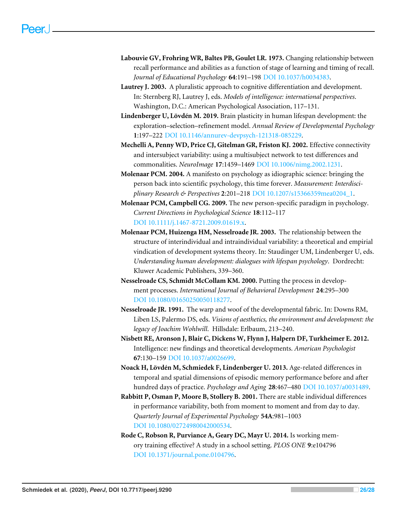- <span id="page-25-5"></span>**Labouvie GV, Frohring WR, Baltes PB, Goulet LR. 1973.** Changing relationship between recall performance and abilities as a function of stage of learning and timing of recall. *Journal of Educational Psychology* **64**:191–198 [DOI 10.1037/h0034383.](http://dx.doi.org/10.1037/h0034383)
- <span id="page-25-2"></span>**Lautrey J. 2003.** A pluralistic approach to cognitive differentiation and development. In: Sternberg RJ, Lautrey J, eds. *Models of intelligence: international perspectives*. Washington, D.C.: American Psychological Association, 117–131.
- <span id="page-25-9"></span>**Lindenberger U, Lövdén M. 2019.** Brain plasticity in human lifespan development: the exploration–selection–refinement model. *Annual Review of Developmental Psychology* **1**:197–222 [DOI 10.1146/annurev-devpsych-121318-085229.](http://dx.doi.org/10.1146/annurev-devpsych-121318-085229)
- <span id="page-25-10"></span>**Mechelli A, Penny WD, Price CJ, Gitelman GR, Friston KJ. 2002.** Effective connectivity and intersubject variability: using a multisubject network to test differences and commonalities. *NeuroImage* **17**:1459–1469 [DOI 10.1006/nimg.2002.1231.](http://dx.doi.org/10.1006/nimg.2002.1231)
- <span id="page-25-3"></span>**Molenaar PCM. 2004.** A manifesto on psychology as idiographic science: bringing the person back into scientific psychology, this time forever. *Measurement: Interdisciplinary Research & Perspectives* **2**:201–218 [DOI 10.1207/s15366359mea0204\\_1.](http://dx.doi.org/10.1207/s15366359mea0204_1)
- <span id="page-25-11"></span>**Molenaar PCM, Campbell CG. 2009.** The new person-specific paradigm in psychology. *Current Directions in Psychological Science* **18**:112–117 [DOI 10.1111/j.1467-8721.2009.01619.x.](http://dx.doi.org/10.1111/j.1467-8721.2009.01619.x)
- <span id="page-25-1"></span>**Molenaar PCM, Huizenga HM, Nesselroade JR. 2003.** The relationship between the structure of interindividual and intraindividual variability: a theoretical and empirial vindication of development systems theory. In: Staudinger UM, Lindenberger U, eds. *Understanding human development: dialogues with lifespan psychology*. Dordrecht: Kluwer Academic Publishers, 339–360.
- <span id="page-25-12"></span>**Nesselroade CS, Schmidt McCollam KM. 2000.** Putting the process in development processes. *International Journal of Behavioral Development* **24**:295–300 [DOI 10.1080/01650250050118277.](http://dx.doi.org/10.1080/01650250050118277)
- <span id="page-25-7"></span>**Nesselroade JR. 1991.** The warp and woof of the developmental fabric. In: Downs RM, Liben LS, Palermo DS, eds. *Visions of aesthetics, the environment and development: the legacy of Joachim Wohlwill*. Hillsdale: Erlbaum, 213–240.
- <span id="page-25-0"></span>**Nisbett RE, Aronson J, Blair C, Dickens W, Flynn J, Halpern DF, Turkheimer E. 2012.** Intelligence: new findings and theoretical developments. *American Psychologist* **67**:130–159 [DOI 10.1037/a0026699.](http://dx.doi.org/10.1037/a0026699)
- <span id="page-25-6"></span>**Noack H, Lövdén M, Schmiedek F, Lindenberger U. 2013.** Age-related differences in temporal and spatial dimensions of episodic memory performance before and after hundred days of practice. *Psychology and Aging* **28**:467–480 [DOI 10.1037/a0031489.](http://dx.doi.org/10.1037/a0031489)
- <span id="page-25-4"></span>**Rabbitt P, Osman P, Moore B, Stollery B. 2001.** There are stable individual differences in performance variability, both from moment to moment and from day to day. *Quarterly Journal of Experimental Psychology* **54A**:981–1003 [DOI 10.1080/02724980042000534.](http://dx.doi.org/10.1080/02724980042000534)
- <span id="page-25-8"></span>**Rode C, Robson R, Purviance A, Geary DC, Mayr U. 2014.** Is working memory training effective? A study in a school setting. *PLOS ONE* **9**:e104796 [DOI 10.1371/journal.pone.0104796.](http://dx.doi.org/10.1371/journal.pone.0104796)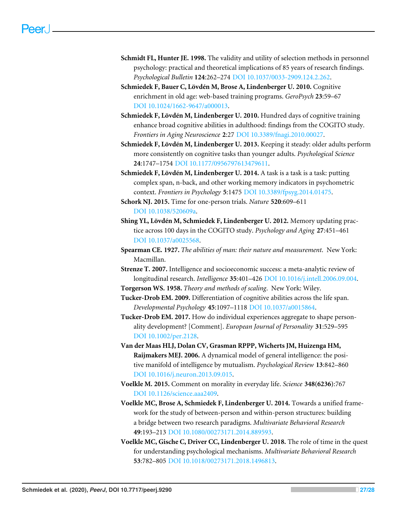- <span id="page-26-1"></span>**Schmidt FL, Hunter JE. 1998.** The validity and utility of selection methods in personnel psychology: practical and theoretical implications of 85 years of research findings. *Psychological Bulletin* **124**:262–274 [DOI 10.1037/0033-2909.124.2.262.](http://dx.doi.org/10.1037/0033-2909.124.2.262)
- <span id="page-26-6"></span>**Schmiedek F, Bauer C, Lövdén M, Brose A, Lindenberger U. 2010.** Cognitive enrichment in old age: web-based training programs. *GeroPsych* **23**:59–67 [DOI 10.1024/1662-9647/a000013.](http://dx.doi.org/10.1024/1662-9647/a000013)
- <span id="page-26-5"></span>**Schmiedek F, Lövdén M, Lindenberger U. 2010.** Hundred days of cognitive training enhance broad cognitive abilities in adulthood: findings from the COGITO study. *Frontiers in Aging Neuroscience* **2**:27 [DOI 10.3389/fnagi.2010.00027.](http://dx.doi.org/10.3389/fnagi.2010.00027)
- <span id="page-26-4"></span>**Schmiedek F, Lövdén M, Lindenberger U. 2013.** Keeping it steady: older adults perform more consistently on cognitive tasks than younger adults. *Psychological Science* **24**:1747–1754 [DOI 10.1177/0956797613479611.](http://dx.doi.org/10.1177/0956797613479611)
- <span id="page-26-8"></span>**Schmiedek F, Lövdén M, Lindenberger U. 2014.** A task is a task is a task: putting complex span, n-back, and other working memory indicators in psychometric context. *Frontiers in Psychology* **5**:1475 [DOI 10.3389/fpsyg.2014.01475.](http://dx.doi.org/10.3389/fpsyg.2014.01475)

<span id="page-26-15"></span>**Schork NJ. 2015.** Time for one-person trials. *Nature* **520**:609–611 [DOI 10.1038/520609a.](http://dx.doi.org/10.1038/520609a)

- <span id="page-26-9"></span>**Shing YL, Lövdén M, Schmiedek F, Lindenberger U. 2012.** Memory updating practice across 100 days in the COGITO study. *Psychology and Aging* **27**:451–461 [DOI 10.1037/a0025568.](http://dx.doi.org/10.1037/a0025568)
- <span id="page-26-0"></span>**Spearman CE. 1927.** *The abilities of man: their nature and measurement*. New York: Macmillan.

<span id="page-26-2"></span>**Strenze T. 2007.** Intelligence and socioeconomic success: a meta-analytic review of longitudinal research. *Intelligence* **35**:401–426 [DOI 10.1016/j.intell.2006.09.004.](http://dx.doi.org/10.1016/j.intell.2006.09.004)

- <span id="page-26-7"></span>**Torgerson WS. 1958.** *Theory and methods of scaling*. New York: Wiley.
- <span id="page-26-13"></span>**Tucker-Drob EM. 2009.** Differentiation of cognitive abilities across the life span. *Developmental Psychology* **45**:1097–1118 [DOI 10.1037/a0015864.](http://dx.doi.org/10.1037/a0015864)
- <span id="page-26-12"></span>**Tucker-Drob EM. 2017.** How do individual experiences aggregate to shape personality development? [Comment]. *European Journal of Personality* **31**:529–595 [DOI 10.1002/per.2128.](http://dx.doi.org/10.1002/per.2128)
- <span id="page-26-11"></span>**Van der Maas HLJ, Dolan CV, Grasman RPPP, Wicherts JM, Huizenga HM, Raijmakers MEJ. 2006.** A dynamical model of general intelligence: the positive manifold of intelligence by mutualism. *Psychological Review* **13**:842–860 [DOI 10.1016/j.neuron.2013.09.015.](http://dx.doi.org/10.1016/j.neuron.2013.09.015)
- <span id="page-26-14"></span>**Voelkle M. 2015.** Comment on morality in everyday life. *Science* **348(6236)**:767 [DOI 10.1126/science.aaa2409.](http://dx.doi.org/10.1126/science.aaa2409)
- <span id="page-26-3"></span>**Voelkle MC, Brose A, Schmiedek F, Lindenberger U. 2014.** Towards a unified framework for the study of between-person and within-person structures: building a bridge between two research paradigms. *Multivariate Behavioral Research* **49**:193–213 [DOI 10.1080/00273171.2014.889593.](http://dx.doi.org/10.1080/00273171.2014.889593)
- <span id="page-26-10"></span>**Voelkle MC, Gische C, Driver CC, Lindenberger U. 2018.** The role of time in the quest for understanding psychological mechanisms. *Multivariate Behavioral Research* **53**:782–805 [DOI 10.1018/00273171.2018.1496813.](http://dx.doi.org/10.1018/00273171.2018.1496813)